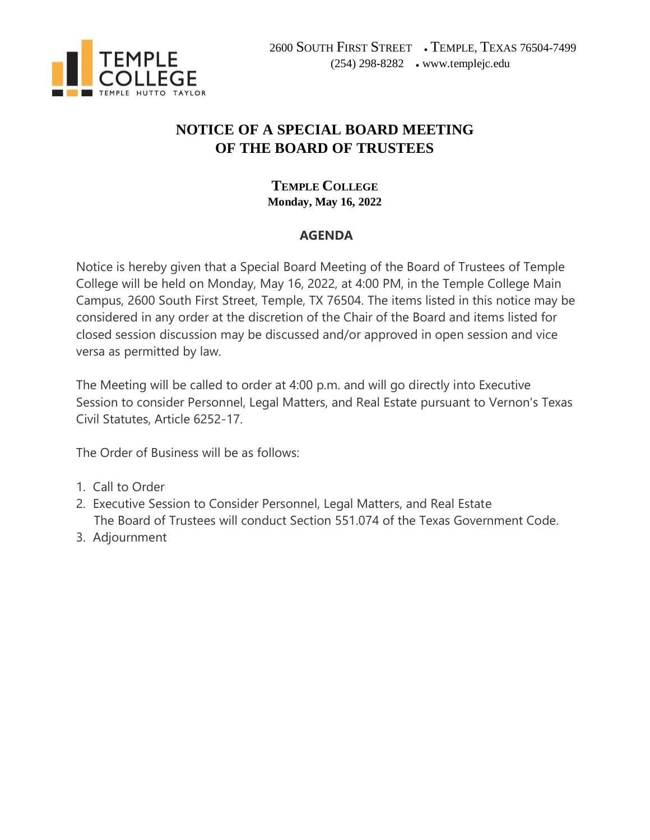

# **NOTICE OF A SPECIAL BOARD MEETING OF THE BOARD OF TRUSTEES**

## **TEMPLE COLLEGE Monday, May 16, 2022**

#### **AGENDA**

Notice is hereby given that a Special Board Meeting of the Board of Trustees of Temple College will be held on Monday, May 16, 2022, at 4:00 PM, in the Temple College Main Campus, 2600 South First Street, Temple, TX 76504. The items listed in this notice may be considered in any order at the discretion of the Chair of the Board and items listed for closed session discussion may be discussed and/or approved in open session and vice versa as permitted by law.

The Meeting will be called to order at 4:00 p.m. and will go directly into Executive Session to consider Personnel, Legal Matters, and Real Estate pursuant to Vernon's Texas Civil Statutes, Article 6252-17.

The Order of Business will be as follows:

- 1. Call to Order
- 2. Executive Session to Consider Personnel, Legal Matters, and Real Estate The Board of Trustees will conduct Section 551.074 of the Texas Government Code.
- 3. Adjournment